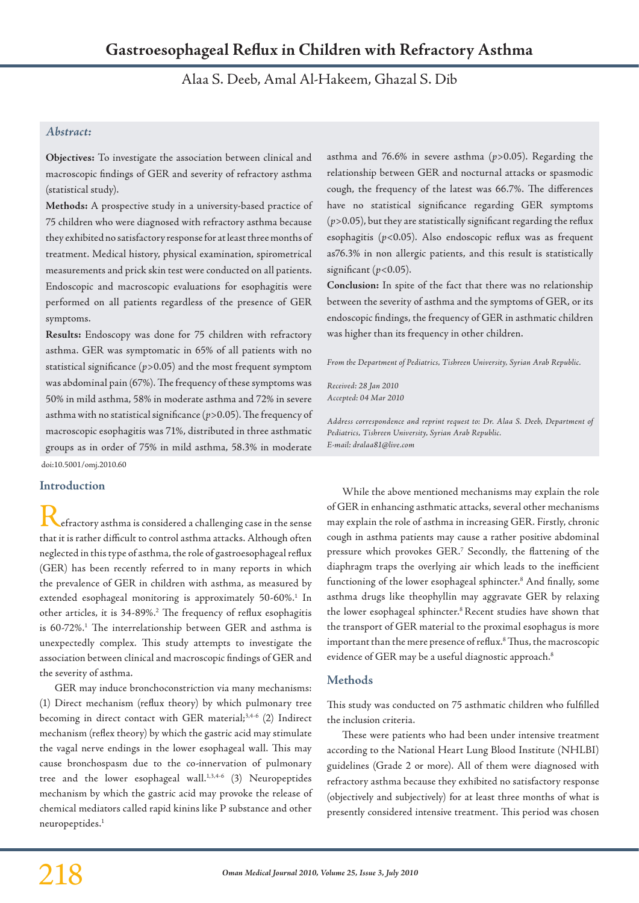Alaa S. Deeb, Amal Al-Hakeem, Ghazal S. Dib

# *Abstract:*

**Objectives:** To investigate the association between clinical and macroscopic findings of GER and severity of refractory asthma (statistical study).

**Methods:** A prospective study in a university-based practice of 75 children who were diagnosed with refractory asthma because they exhibited no satisfactory response for at least three months of treatment. Medical history, physical examination, spirometrical measurements and prick skin test were conducted on all patients. Endoscopic and macroscopic evaluations for esophagitis were performed on all patients regardless of the presence of GER symptoms.

**Results:** Endoscopy was done for 75 children with refractory asthma. GER was symptomatic in 65% of all patients with no statistical significance (*p*>0.05) and the most frequent symptom was abdominal pain (67%). The frequency of these symptoms was 50% in mild asthma, 58% in moderate asthma and 72% in severe asthma with no statistical significance (*p*>0.05). The frequency of macroscopic esophagitis was 71%, distributed in three asthmatic groups as in order of 75% in mild asthma, 58.3% in moderate doi:10.5001/omj.2010.60

# **Introduction**

efractory asthma is considered a challenging case in the sense that it is rather difficult to control asthma attacks. Although often neglected in this type of asthma, the role of gastroesophageal reflux (GER) has been recently referred to in many reports in which the prevalence of GER in children with asthma, as measured by extended esophageal monitoring is approximately 50-60%.<sup>1</sup> In other articles, it is 34-89%.<sup>2</sup> The frequency of reflux esophagitis is 60-72%.<sup>1</sup> The interrelationship between GER and asthma is unexpectedly complex. This study attempts to investigate the association between clinical and macroscopic findings of GER and the severity of asthma.

GER may induce bronchoconstriction via many mechanisms: (1) Direct mechanism (reflux theory) by which pulmonary tree becoming in direct contact with GER material;<sup>3,4-6</sup> (2) Indirect mechanism (reflex theory) by which the gastric acid may stimulate the vagal nerve endings in the lower esophageal wall. This may cause bronchospasm due to the co-innervation of pulmonary tree and the lower esophageal wall.<sup>1,3,4-6</sup> (3) Neuropeptides mechanism by which the gastric acid may provoke the release of chemical mediators called rapid kinins like P substance and other neuropeptides.1

asthma and 76.6% in severe asthma (*p*>0.05). Regarding the relationship between GER and nocturnal attacks or spasmodic cough, the frequency of the latest was 66.7%. The differences have no statistical significance regarding GER symptoms  $(p>0.05)$ , but they are statistically significant regarding the reflux esophagitis (*p*<0.05). Also endoscopic reflux was as frequent as76.3% in non allergic patients, and this result is statistically significant (*p*<0.05).

**Conclusion:** In spite of the fact that there was no relationship between the severity of asthma and the symptoms of GER, or its endoscopic findings, the frequency of GER in asthmatic children was higher than its frequency in other children.

*From the Department of Pediatrics, Tishreen University, Syrian Arab Republic.*

*Received: 28 Jan 2010 Accepted: 04 Mar 2010*

*Address correspondence and reprint request to: Dr. Alaa S. Deeb, Department of Pediatrics, Tishreen University, Syrian Arab Republic. E-mail: dralaa81@live.com*

While the above mentioned mechanisms may explain the role of GER in enhancing asthmatic attacks, several other mechanisms may explain the role of asthma in increasing GER. Firstly, chronic cough in asthma patients may cause a rather positive abdominal pressure which provokes GER.7 Secondly, the flattening of the diaphragm traps the overlying air which leads to the inefficient functioning of the lower esophageal sphincter.8 And finally, some asthma drugs like theophyllin may aggravate GER by relaxing the lower esophageal sphincter.<sup>8</sup> Recent studies have shown that the transport of GER material to the proximal esophagus is more important than the mere presence of reflux.8 Thus, the macroscopic evidence of GER may be a useful diagnostic approach.<sup>8</sup>

### **Methods**

This study was conducted on 75 asthmatic children who fulfilled the inclusion criteria.

These were patients who had been under intensive treatment according to the National Heart Lung Blood Institute (NHLBI) guidelines (Grade 2 or more). All of them were diagnosed with refractory asthma because they exhibited no satisfactory response (objectively and subjectively) for at least three months of what is presently considered intensive treatment. This period was chosen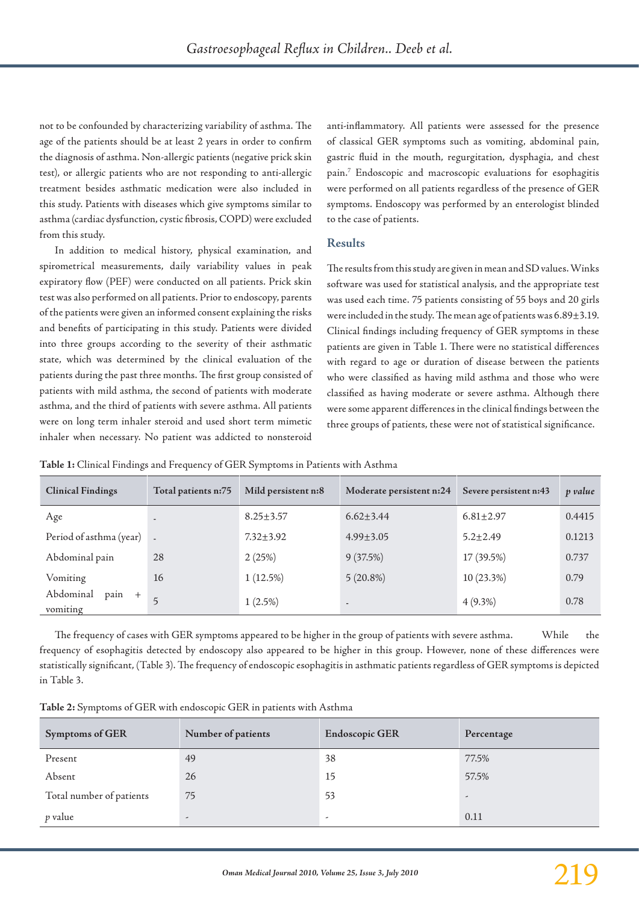not to be confounded by characterizing variability of asthma. The age of the patients should be at least 2 years in order to confirm the diagnosis of asthma. Non-allergic patients (negative prick skin test), or allergic patients who are not responding to anti-allergic treatment besides asthmatic medication were also included in this study. Patients with diseases which give symptoms similar to asthma (cardiac dysfunction, cystic fibrosis, COPD) were excluded from this study.

In addition to medical history, physical examination, and spirometrical measurements, daily variability values in peak expiratory flow (PEF) were conducted on all patients. Prick skin test was also performed on all patients. Prior to endoscopy, parents of the patients were given an informed consent explaining the risks and benefits of participating in this study. Patients were divided into three groups according to the severity of their asthmatic state, which was determined by the clinical evaluation of the patients during the past three months. The first group consisted of patients with mild asthma, the second of patients with moderate asthma, and the third of patients with severe asthma. All patients were on long term inhaler steroid and used short term mimetic inhaler when necessary. No patient was addicted to nonsteroid

anti-inflammatory. All patients were assessed for the presence of classical GER symptoms such as vomiting, abdominal pain, gastric fluid in the mouth, regurgitation, dysphagia, and chest pain.7 Endoscopic and macroscopic evaluations for esophagitis were performed on all patients regardless of the presence of GER symptoms. Endoscopy was performed by an enterologist blinded to the case of patients.

## **Results**

The results from this study are given in mean and SD values. Winks software was used for statistical analysis, and the appropriate test was used each time. 75 patients consisting of 55 boys and 20 girls were included in the study. The mean age of patients was 6.89±3.19. Clinical findings including frequency of GER symptoms in these patients are given in Table 1. There were no statistical differences with regard to age or duration of disease between the patients who were classified as having mild asthma and those who were classified as having moderate or severe asthma. Although there were some apparent differences in the clinical findings between the three groups of patients, these were not of statistical significance.

**Table 1:** Clinical Findings and Frequency of GER Symptoms in Patients with Asthma

| <b>Clinical Findings</b>        | Total patients n:75      | Mild persistent n:8 | Moderate persistent n:24 | Severe persistent n:43 | p value |
|---------------------------------|--------------------------|---------------------|--------------------------|------------------------|---------|
| Age                             | $\overline{\phantom{a}}$ | $8.25 \pm 3.57$     | $6.62 \pm 3.44$          | $6.81 \pm 2.97$        | 0.4415  |
| Period of asthma (year)         |                          | $7.32 + 3.92$       | $4.99 \pm 3.05$          | $5.2 \pm 2.49$         | 0.1213  |
| Abdominal pain                  | 28                       | 2(25%)              | 9(37.5%)                 | 17 (39.5%)             | 0.737   |
| Vomiting                        | 16                       | 1(12.5%)            | $5(20.8\%)$              | $10(23.3\%)$           | 0.79    |
| Abdominal<br>pain +<br>vomiting | 5                        | $1(2.5\%)$          | $\sim$                   | $4(9.3\%)$             | 0.78    |

The frequency of cases with GER symptoms appeared to be higher in the group of patients with severe asthma. While the frequency of esophagitis detected by endoscopy also appeared to be higher in this group. However, none of these differences were statistically significant, (Table 3). The frequency of endoscopic esophagitis in asthmatic patients regardless of GER symptoms is depicted in Table 3.

| Table 2: Symptoms of GER with endoscopic GER in patients with Asthma |  |  |
|----------------------------------------------------------------------|--|--|
|----------------------------------------------------------------------|--|--|

| <b>Symptoms of GER</b>   | Number of patients       | <b>Endoscopic GER</b> | Percentage               |
|--------------------------|--------------------------|-----------------------|--------------------------|
| Present                  | 49                       | 38                    | 77.5%                    |
| Absent                   | 26                       | 15                    | 57.5%                    |
| Total number of patients | 75                       | 53                    | $\overline{\phantom{a}}$ |
| p value                  | $\overline{\phantom{a}}$ | ٠                     | 0.11                     |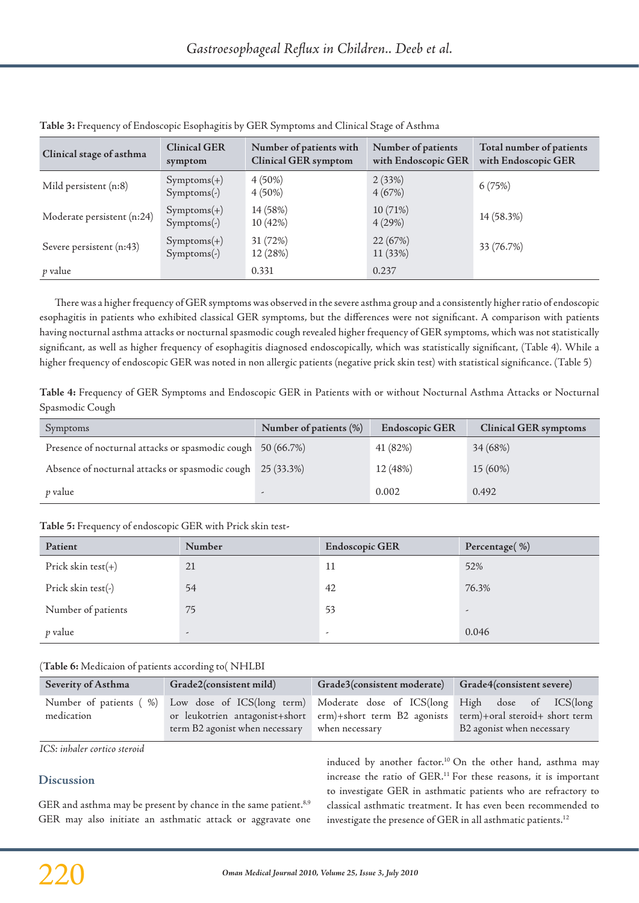| Clinical stage of asthma   | <b>Clinical GER</b><br>symptom     | Number of patients with<br><b>Clinical GER</b> symptom | Number of patients<br>with Endoscopic GER | Total number of patients<br>with Endoscopic GER |
|----------------------------|------------------------------------|--------------------------------------------------------|-------------------------------------------|-------------------------------------------------|
| Mild persistent (n:8)      | $Symptoms(+)$<br>$Symptoms(\cdot)$ | $4(50\%)$<br>$4(50\%)$                                 | 2(33%)<br>4(67%)                          | 6(75%)                                          |
| Moderate persistent (n:24) | $Symptoms(+)$<br>$Symptoms(-)$     | 14 (58%)<br>10(42%)                                    | 10 (71%)<br>4(29%)                        | 14 (58.3%)                                      |
| Severe persistent (n:43)   | $Symptoms(+)$<br>$Symptoms(-)$     | 31 (72%)<br>12 (28%)                                   | 22 (67%)<br>11 (33%)                      | 33 (76.7%)                                      |
| p value                    |                                    | 0.331                                                  | 0.237                                     |                                                 |

**Table 3:** Frequency of Endoscopic Esophagitis by GER Symptoms and Clinical Stage of Asthma

There was a higher frequency of GER symptoms was observed in the severe asthma group and a consistently higher ratio of endoscopic esophagitis in patients who exhibited classical GER symptoms, but the differences were not significant. A comparison with patients having nocturnal asthma attacks or nocturnal spasmodic cough revealed higher frequency of GER symptoms, which was not statistically significant, as well as higher frequency of esophagitis diagnosed endoscopically, which was statistically significant, (Table 4). While a higher frequency of endoscopic GER was noted in non allergic patients (negative prick skin test) with statistical significance. (Table 5)

**Table 4:** Frequency of GER Symptoms and Endoscopic GER in Patients with or without Nocturnal Asthma Attacks or Nocturnal Spasmodic Cough

| Symptoms                                                    | Number of patients (%)   | <b>Endoscopic GER</b> | <b>Clinical GER symptoms</b> |
|-------------------------------------------------------------|--------------------------|-----------------------|------------------------------|
| Presence of nocturnal attacks or spasmodic cough 50 (66.7%) |                          | 41 (82%)              | 34 (68%)                     |
| Absence of nocturnal attacks or spasmodic cough 25 (33.3%)  |                          | 12 (48%)              | 15 (60%)                     |
| <i>p</i> value                                              | $\overline{\phantom{0}}$ | 0.002                 | 0.492                        |

### **Table 5:** Frequency of endoscopic GER with Prick skin test**‑**

| Patient               | Number                   | <b>Endoscopic GER</b>    | Percentage(%)            |
|-----------------------|--------------------------|--------------------------|--------------------------|
| Prick skin test $(+)$ | 21                       | 11                       | 52%                      |
| Prick skin test(-)    | 54                       | 42                       | 76.3%                    |
| Number of patients    | 75                       | 53                       | $\overline{\phantom{a}}$ |
| p value               | $\overline{\phantom{a}}$ | $\overline{\phantom{a}}$ | 0.046                    |

### )**Table 6:** Medicaion of patients according to( NHLBI

| <b>Severity of Asthma</b>            | Grade2(consistent mild)                                                                                                                                                    | Grade3(consistent moderate) Grade4(consistent severe) |                                                             |
|--------------------------------------|----------------------------------------------------------------------------------------------------------------------------------------------------------------------------|-------------------------------------------------------|-------------------------------------------------------------|
| Number of patients (%)<br>medication | Low dose of ICS(long term) Moderate dose of ICS(long High dose of ICS(long<br>or leukotrien antagonist+short erm)+short term B2 agonists<br>term B2 agonist when necessary | when necessary                                        | term)+oral steroid+ short term<br>B2 agonist when necessary |

*ICS: inhaler cortico steroid*

### **Discussion**

GER and asthma may be present by chance in the same patient.<sup>8,9</sup> GER may also initiate an asthmatic attack or aggravate one induced by another factor.<sup>10</sup> On the other hand, asthma may increase the ratio of GER.<sup>11</sup> For these reasons, it is important to investigate GER in asthmatic patients who are refractory to classical asthmatic treatment. It has even been recommended to investigate the presence of GER in all asthmatic patients.<sup>12</sup>